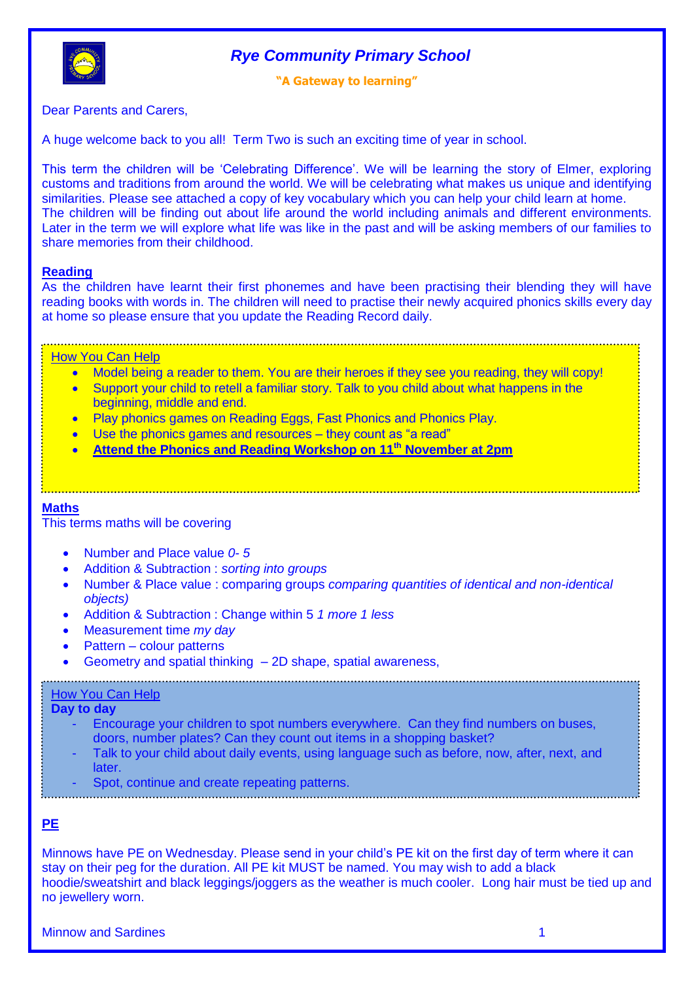



## **"A Gateway to learning"**

Dear Parents and Carers,

A huge welcome back to you all! Term Two is such an exciting time of year in school.

This term the children will be "Celebrating Difference". We will be learning the story of Elmer, exploring customs and traditions from around the world. We will be celebrating what makes us unique and identifying similarities. Please see attached a copy of key vocabulary which you can help your child learn at home. The children will be finding out about life around the world including animals and different environments. Later in the term we will explore what life was like in the past and will be asking members of our families to share memories from their childhood.

## **Reading**

As the children have learnt their first phonemes and have been practising their blending they will have reading books with words in. The children will need to practise their newly acquired phonics skills every day at home so please ensure that you update the Reading Record daily.

## How You Can Help

- Model being a reader to them. You are their heroes if they see you reading, they will copy!
- Support your child to retell a familiar story. Talk to you child about what happens in the beginning, middle and end.
- Play phonics games on Reading Eggs, Fast Phonics and Phonics Play.
- Use the phonics games and resources they count as "a read"
- **Mathematics Attend the Phonics and Reading Workshop on 11th November at 2pm**

## **Maths**

This terms maths will be covering

- Number and Place value *0- 5*
- Addition & Subtraction : *sorting into groups*
- Number & Place value : comparing groups *comparing quantities of identical and non-identical objects)*
- Addition & Subtraction : Change within 5 *1 more 1 less*
- Measurement time *my day*
- Pattern colour patterns
- Geometry and spatial thinking 2D shape, spatial awareness,

## **How You Can Help**

## **Day to day**

- Encourage your children to spot numbers everywhere. Can they find numbers on buses, doors, number plates? Can they count out items in a shopping basket?
- Talk to your child about daily events, using language such as before, now, after, next, and later.
- Spot, continue and create repeating patterns.

## **PE**

Minnows have PE on Wednesday. Please send in your child"s PE kit on the first day of term where it can stay on their peg for the duration. All PE kit MUST be named. You may wish to add a black hoodie/sweatshirt and black leggings/joggers as the weather is much cooler. Long hair must be tied up and no jewellery worn.

Minnow and Sardines 1